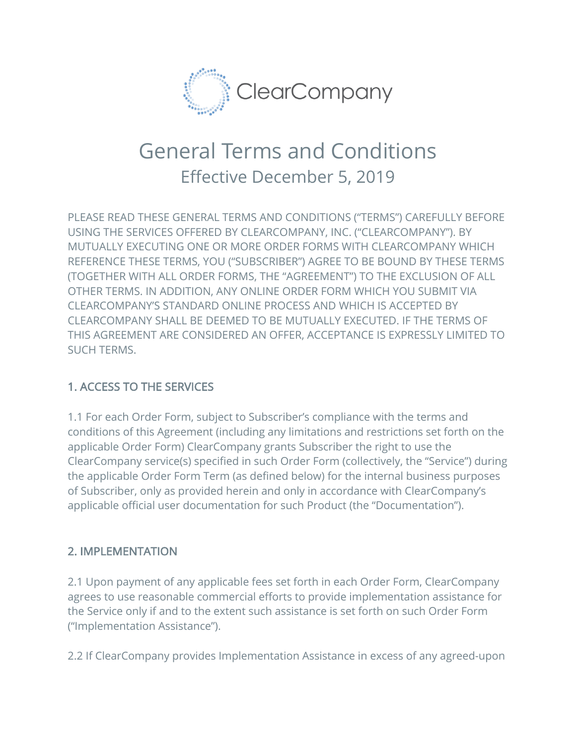

# General Terms and Conditions Effective December 5, 2019

PLEASE READ THESE GENERAL TERMS AND CONDITIONS ("TERMS") CAREFULLY BEFORE USING THE SERVICES OFFERED BY CLEARCOMPANY, INC. ("CLEARCOMPANY"). BY MUTUALLY EXECUTING ONE OR MORE ORDER FORMS WITH CLEARCOMPANY WHICH REFERENCE THESE TERMS, YOU ("SUBSCRIBER") AGREE TO BE BOUND BY THESE TERMS (TOGETHER WITH ALL ORDER FORMS, THE "AGREEMENT") TO THE EXCLUSION OF ALL OTHER TERMS. IN ADDITION, ANY ONLINE ORDER FORM WHICH YOU SUBMIT VIA CLEARCOMPANY'S STANDARD ONLINE PROCESS AND WHICH IS ACCEPTED BY CLEARCOMPANY SHALL BE DEEMED TO BE MUTUALLY EXECUTED. IF THE TERMS OF THIS AGREEMENT ARE CONSIDERED AN OFFER, ACCEPTANCE IS EXPRESSLY LIMITED TO SUCH TERMS.

## 1. ACCESS TO THE SERVICES

1.1 For each Order Form, subject to Subscriber's compliance with the terms and conditions of this Agreement (including any limitations and restrictions set forth on the applicable Order Form) ClearCompany grants Subscriber the right to use the ClearCompany service(s) specified in such Order Form (collectively, the "Service") during the applicable Order Form Term (as defined below) for the internal business purposes of Subscriber, only as provided herein and only in accordance with ClearCompany's applicable official user documentation for such Product (the "Documentation").

#### 2. IMPLEMENTATION

2.1 Upon payment of any applicable fees set forth in each Order Form, ClearCompany agrees to use reasonable commercial efforts to provide implementation assistance for the Service only if and to the extent such assistance is set forth on such Order Form ("Implementation Assistance").

2.2 If ClearCompany provides Implementation Assistance in excess of any agreed-upon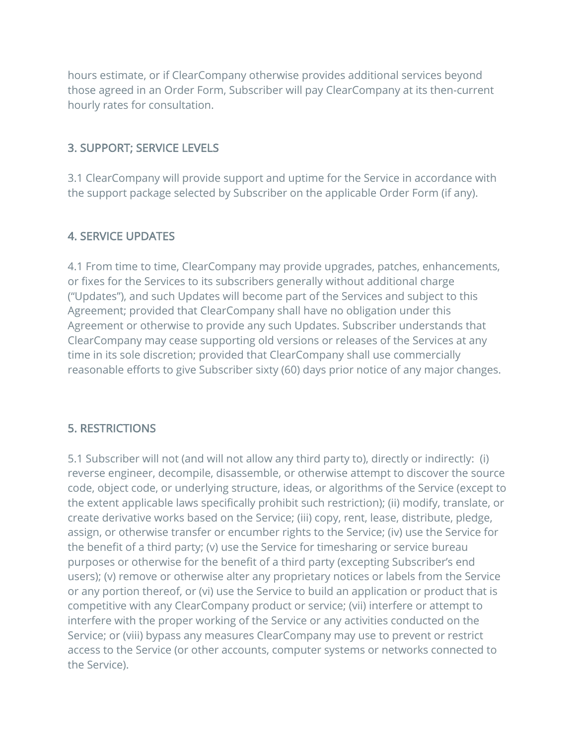hours estimate, or if ClearCompany otherwise provides additional services beyond those agreed in an Order Form, Subscriber will pay ClearCompany at its then-current hourly rates for consultation.

#### 3. SUPPORT; SERVICE LEVELS

3.1 ClearCompany will provide support and uptime for the Service in accordance with the support package selected by Subscriber on the applicable Order Form (if any).

## 4. SERVICE UPDATES

4.1 From time to time, ClearCompany may provide upgrades, patches, enhancements, or fixes for the Services to its subscribers generally without additional charge ("Updates"), and such Updates will become part of the Services and subject to this Agreement; provided that ClearCompany shall have no obligation under this Agreement or otherwise to provide any such Updates. Subscriber understands that ClearCompany may cease supporting old versions or releases of the Services at any time in its sole discretion; provided that ClearCompany shall use commercially reasonable efforts to give Subscriber sixty (60) days prior notice of any major changes.

#### 5. RESTRICTIONS

5.1 Subscriber will not (and will not allow any third party to), directly or indirectly: (i) reverse engineer, decompile, disassemble, or otherwise attempt to discover the source code, object code, or underlying structure, ideas, or algorithms of the Service (except to the extent applicable laws specifically prohibit such restriction); (ii) modify, translate, or create derivative works based on the Service; (iii) copy, rent, lease, distribute, pledge, assign, or otherwise transfer or encumber rights to the Service; (iv) use the Service for the benefit of a third party; (v) use the Service for timesharing or service bureau purposes or otherwise for the benefit of a third party (excepting Subscriber's end users); (v) remove or otherwise alter any proprietary notices or labels from the Service or any portion thereof, or (vi) use the Service to build an application or product that is competitive with any ClearCompany product or service; (vii) interfere or attempt to interfere with the proper working of the Service or any activities conducted on the Service; or (viii) bypass any measures ClearCompany may use to prevent or restrict access to the Service (or other accounts, computer systems or networks connected to the Service).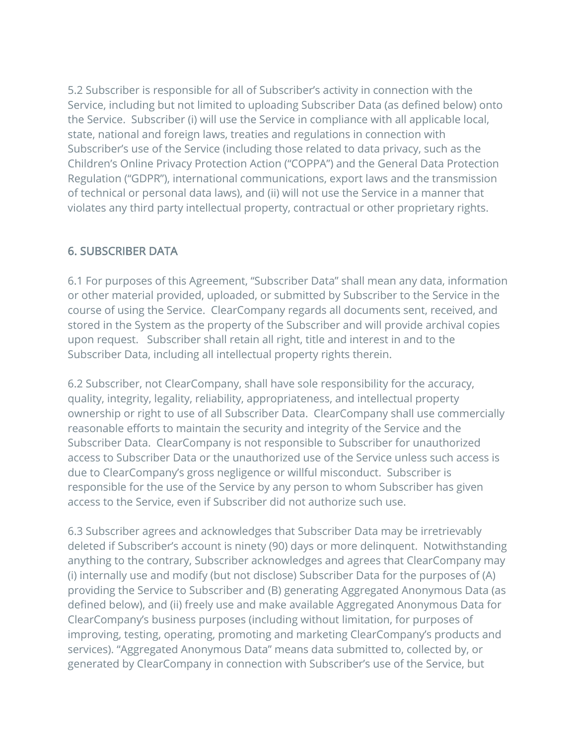5.2 Subscriber is responsible for all of Subscriber's activity in connection with the Service, including but not limited to uploading Subscriber Data (as defined below) onto the Service. Subscriber (i) will use the Service in compliance with all applicable local, state, national and foreign laws, treaties and regulations in connection with Subscriber's use of the Service (including those related to data privacy, such as the Children's Online Privacy Protection Action ("COPPA") and the General Data Protection Regulation ("GDPR"), international communications, export laws and the transmission of technical or personal data laws), and (ii) will not use the Service in a manner that violates any third party intellectual property, contractual or other proprietary rights.

#### 6. SUBSCRIBER DATA

6.1 For purposes of this Agreement, "Subscriber Data" shall mean any data, information or other material provided, uploaded, or submitted by Subscriber to the Service in the course of using the Service. ClearCompany regards all documents sent, received, and stored in the System as the property of the Subscriber and will provide archival copies upon request. Subscriber shall retain all right, title and interest in and to the Subscriber Data, including all intellectual property rights therein.

6.2 Subscriber, not ClearCompany, shall have sole responsibility for the accuracy, quality, integrity, legality, reliability, appropriateness, and intellectual property ownership or right to use of all Subscriber Data. ClearCompany shall use commercially reasonable efforts to maintain the security and integrity of the Service and the Subscriber Data. ClearCompany is not responsible to Subscriber for unauthorized access to Subscriber Data or the unauthorized use of the Service unless such access is due to ClearCompany's gross negligence or willful misconduct. Subscriber is responsible for the use of the Service by any person to whom Subscriber has given access to the Service, even if Subscriber did not authorize such use.

6.3 Subscriber agrees and acknowledges that Subscriber Data may be irretrievably deleted if Subscriber's account is ninety (90) days or more delinquent. Notwithstanding anything to the contrary, Subscriber acknowledges and agrees that ClearCompany may (i) internally use and modify (but not disclose) Subscriber Data for the purposes of (A) providing the Service to Subscriber and (B) generating Aggregated Anonymous Data (as defined below), and (ii) freely use and make available Aggregated Anonymous Data for ClearCompany's business purposes (including without limitation, for purposes of improving, testing, operating, promoting and marketing ClearCompany's products and services). "Aggregated Anonymous Data" means data submitted to, collected by, or generated by ClearCompany in connection with Subscriber's use of the Service, but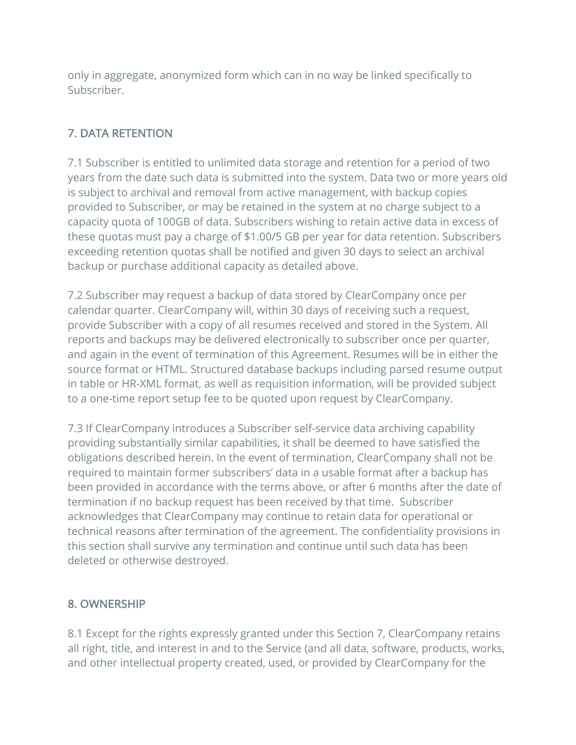only in aggregate, anonymized form which can in no way be linked specifically to Subscriber.

## 7. DATA RETENTION

7.1 Subscriber is entitled to unlimited data storage and retention for a period of two years from the date such data is submitted into the system. Data two or more years old is subject to archival and removal from active management, with backup copies provided to Subscriber, or may be retained in the system at no charge subject to a capacity quota of 100GB of data. Subscribers wishing to retain active data in excess of these quotas must pay a charge of \$1.00/5 GB per year for data retention. Subscribers exceeding retention quotas shall be notified and given 30 days to select an archival backup or purchase additional capacity as detailed above.

7.2 Subscriber may request a backup of data stored by ClearCompany once per calendar quarter. ClearCompany will, within 30 days of receiving such a request, provide Subscriber with a copy of all resumes received and stored in the System. All reports and backups may be delivered electronically to subscriber once per quarter, and again in the event of termination of this Agreement. Resumes will be in either the source format or HTML. Structured database backups including parsed resume output in table or HR-XML format, as well as requisition information, will be provided subject to a one-time report setup fee to be quoted upon request by ClearCompany.

7.3 If ClearCompany introduces a Subscriber self-service data archiving capability providing substantially similar capabilities, it shall be deemed to have satisfied the obligations described herein. In the event of termination, ClearCompany shall not be required to maintain former subscribers' data in a usable format after a backup has been provided in accordance with the terms above, or after 6 months after the date of termination if no backup request has been received by that time. Subscriber acknowledges that ClearCompany may continue to retain data for operational or technical reasons after termination of the agreement. The confidentiality provisions in this section shall survive any termination and continue until such data has been deleted or otherwise destroyed.

#### 8. OWNERSHIP

8.1 Except for the rights expressly granted under this Section 7, ClearCompany retains all right, title, and interest in and to the Service (and all data, software, products, works, and other intellectual property created, used, or provided by ClearCompany for the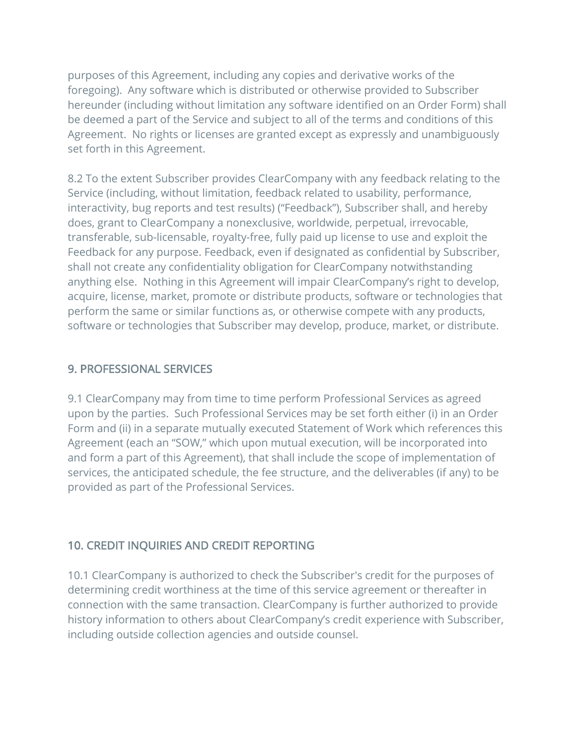purposes of this Agreement, including any copies and derivative works of the foregoing). Any software which is distributed or otherwise provided to Subscriber hereunder (including without limitation any software identified on an Order Form) shall be deemed a part of the Service and subject to all of the terms and conditions of this Agreement. No rights or licenses are granted except as expressly and unambiguously set forth in this Agreement.

8.2 To the extent Subscriber provides ClearCompany with any feedback relating to the Service (including, without limitation, feedback related to usability, performance, interactivity, bug reports and test results) ("Feedback"), Subscriber shall, and hereby does, grant to ClearCompany a nonexclusive, worldwide, perpetual, irrevocable, transferable, sub-licensable, royalty-free, fully paid up license to use and exploit the Feedback for any purpose. Feedback, even if designated as confidential by Subscriber, shall not create any confidentiality obligation for ClearCompany notwithstanding anything else. Nothing in this Agreement will impair ClearCompany's right to develop, acquire, license, market, promote or distribute products, software or technologies that perform the same or similar functions as, or otherwise compete with any products, software or technologies that Subscriber may develop, produce, market, or distribute.

#### 9. PROFESSIONAL SERVICES

9.1 ClearCompany may from time to time perform Professional Services as agreed upon by the parties. Such Professional Services may be set forth either (i) in an Order Form and (ii) in a separate mutually executed Statement of Work which references this Agreement (each an "SOW," which upon mutual execution, will be incorporated into and form a part of this Agreement), that shall include the scope of implementation of services, the anticipated schedule, the fee structure, and the deliverables (if any) to be provided as part of the Professional Services.

#### 10. CREDIT INQUIRIES AND CREDIT REPORTING

10.1 ClearCompany is authorized to check the Subscriber's credit for the purposes of determining credit worthiness at the time of this service agreement or thereafter in connection with the same transaction. ClearCompany is further authorized to provide history information to others about ClearCompany's credit experience with Subscriber, including outside collection agencies and outside counsel.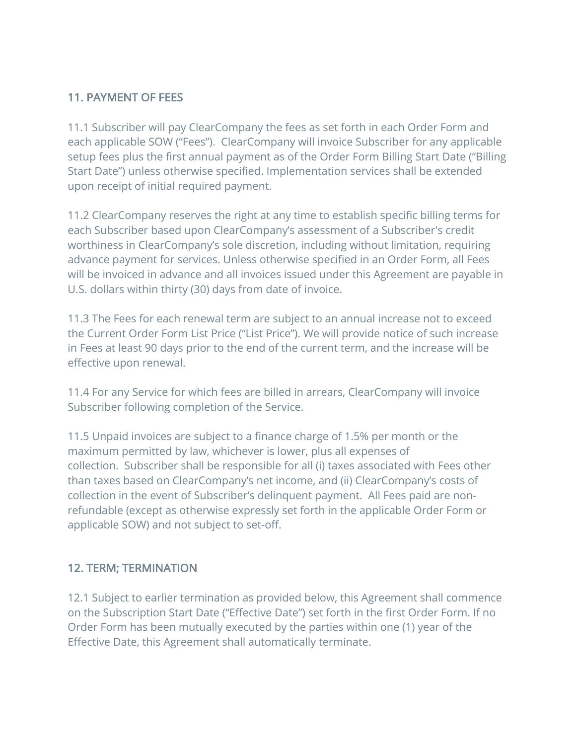### 11. PAYMENT OF FEES

11.1 Subscriber will pay ClearCompany the fees as set forth in each Order Form and each applicable SOW ("Fees"). ClearCompany will invoice Subscriber for any applicable setup fees plus the first annual payment as of the Order Form Billing Start Date ("Billing Start Date") unless otherwise specified. Implementation services shall be extended upon receipt of initial required payment.

11.2 ClearCompany reserves the right at any time to establish specific billing terms for each Subscriber based upon ClearCompany's assessment of a Subscriber's credit worthiness in ClearCompany's sole discretion, including without limitation, requiring advance payment for services. Unless otherwise specified in an Order Form, all Fees will be invoiced in advance and all invoices issued under this Agreement are payable in U.S. dollars within thirty (30) days from date of invoice.

11.3 The Fees for each renewal term are subject to an annual increase not to exceed the Current Order Form List Price ("List Price"). We will provide notice of such increase in Fees at least 90 days prior to the end of the current term, and the increase will be effective upon renewal.

11.4 For any Service for which fees are billed in arrears, ClearCompany will invoice Subscriber following completion of the Service.

11.5 Unpaid invoices are subject to a finance charge of 1.5% per month or the maximum permitted by law, whichever is lower, plus all expenses of collection. Subscriber shall be responsible for all (i) taxes associated with Fees other than taxes based on ClearCompany's net income, and (ii) ClearCompany's costs of collection in the event of Subscriber's delinquent payment. All Fees paid are nonrefundable (except as otherwise expressly set forth in the applicable Order Form or applicable SOW) and not subject to set-off.

#### 12. TERM; TERMINATION

12.1 Subject to earlier termination as provided below, this Agreement shall commence on the Subscription Start Date ("Effective Date") set forth in the first Order Form. If no Order Form has been mutually executed by the parties within one (1) year of the Effective Date, this Agreement shall automatically terminate.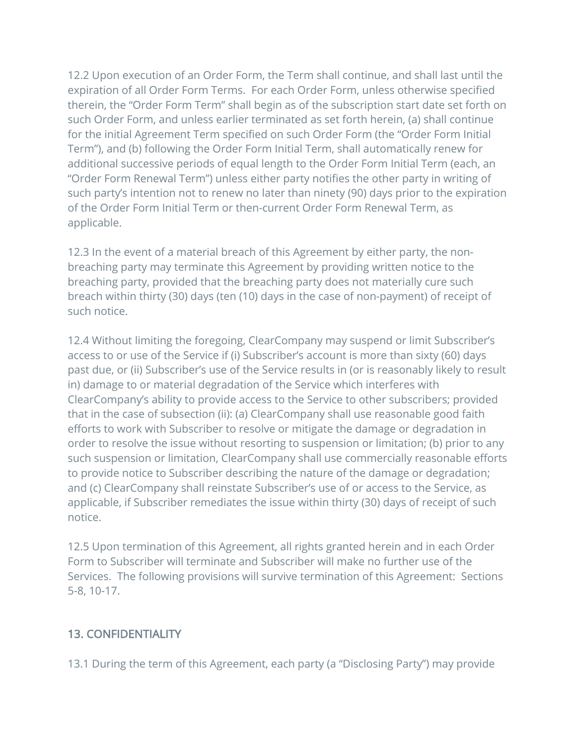12.2 Upon execution of an Order Form, the Term shall continue, and shall last until the expiration of all Order Form Terms. For each Order Form, unless otherwise specified therein, the "Order Form Term" shall begin as of the subscription start date set forth on such Order Form, and unless earlier terminated as set forth herein, (a) shall continue for the initial Agreement Term specified on such Order Form (the "Order Form Initial Term"), and (b) following the Order Form Initial Term, shall automatically renew for additional successive periods of equal length to the Order Form Initial Term (each, an "Order Form Renewal Term") unless either party notifies the other party in writing of such party's intention not to renew no later than ninety (90) days prior to the expiration of the Order Form Initial Term or then-current Order Form Renewal Term, as applicable.

12.3 In the event of a material breach of this Agreement by either party, the nonbreaching party may terminate this Agreement by providing written notice to the breaching party, provided that the breaching party does not materially cure such breach within thirty (30) days (ten (10) days in the case of non-payment) of receipt of such notice.

12.4 Without limiting the foregoing, ClearCompany may suspend or limit Subscriber's access to or use of the Service if (i) Subscriber's account is more than sixty (60) days past due, or (ii) Subscriber's use of the Service results in (or is reasonably likely to result in) damage to or material degradation of the Service which interferes with ClearCompany's ability to provide access to the Service to other subscribers; provided that in the case of subsection (ii): (a) ClearCompany shall use reasonable good faith efforts to work with Subscriber to resolve or mitigate the damage or degradation in order to resolve the issue without resorting to suspension or limitation; (b) prior to any such suspension or limitation, ClearCompany shall use commercially reasonable efforts to provide notice to Subscriber describing the nature of the damage or degradation; and (c) ClearCompany shall reinstate Subscriber's use of or access to the Service, as applicable, if Subscriber remediates the issue within thirty (30) days of receipt of such notice.

12.5 Upon termination of this Agreement, all rights granted herein and in each Order Form to Subscriber will terminate and Subscriber will make no further use of the Services. The following provisions will survive termination of this Agreement: Sections 5-8, 10-17.

## 13. CONFIDENTIALITY

13.1 During the term of this Agreement, each party (a "Disclosing Party") may provide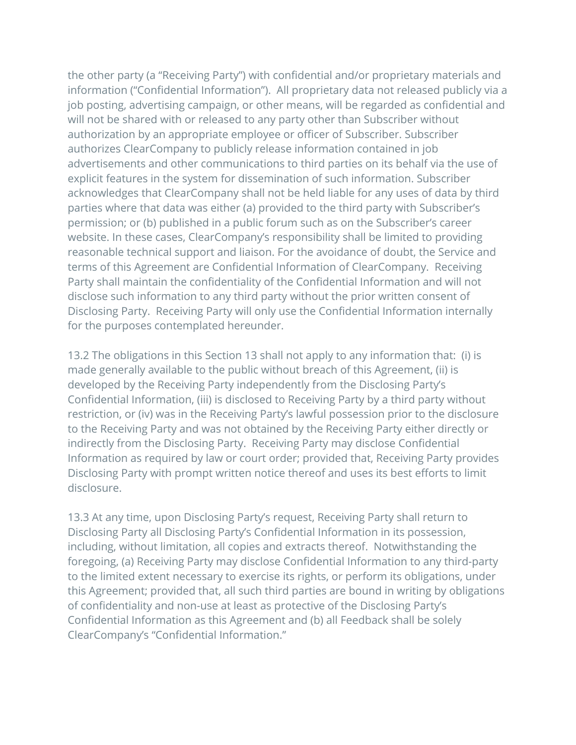the other party (a "Receiving Party") with confidential and/or proprietary materials and information ("Confidential Information"). All proprietary data not released publicly via a job posting, advertising campaign, or other means, will be regarded as confidential and will not be shared with or released to any party other than Subscriber without authorization by an appropriate employee or officer of Subscriber. Subscriber authorizes ClearCompany to publicly release information contained in job advertisements and other communications to third parties on its behalf via the use of explicit features in the system for dissemination of such information. Subscriber acknowledges that ClearCompany shall not be held liable for any uses of data by third parties where that data was either (a) provided to the third party with Subscriber's permission; or (b) published in a public forum such as on the Subscriber's career website. In these cases, ClearCompany's responsibility shall be limited to providing reasonable technical support and liaison. For the avoidance of doubt, the Service and terms of this Agreement are Confidential Information of ClearCompany. Receiving Party shall maintain the confidentiality of the Confidential Information and will not disclose such information to any third party without the prior written consent of Disclosing Party. Receiving Party will only use the Confidential Information internally for the purposes contemplated hereunder.

13.2 The obligations in this Section 13 shall not apply to any information that: (i) is made generally available to the public without breach of this Agreement, (ii) is developed by the Receiving Party independently from the Disclosing Party's Confidential Information, (iii) is disclosed to Receiving Party by a third party without restriction, or (iv) was in the Receiving Party's lawful possession prior to the disclosure to the Receiving Party and was not obtained by the Receiving Party either directly or indirectly from the Disclosing Party. Receiving Party may disclose Confidential Information as required by law or court order; provided that, Receiving Party provides Disclosing Party with prompt written notice thereof and uses its best efforts to limit disclosure.

13.3 At any time, upon Disclosing Party's request, Receiving Party shall return to Disclosing Party all Disclosing Party's Confidential Information in its possession, including, without limitation, all copies and extracts thereof. Notwithstanding the foregoing, (a) Receiving Party may disclose Confidential Information to any third-party to the limited extent necessary to exercise its rights, or perform its obligations, under this Agreement; provided that, all such third parties are bound in writing by obligations of confidentiality and non-use at least as protective of the Disclosing Party's Confidential Information as this Agreement and (b) all Feedback shall be solely ClearCompany's "Confidential Information."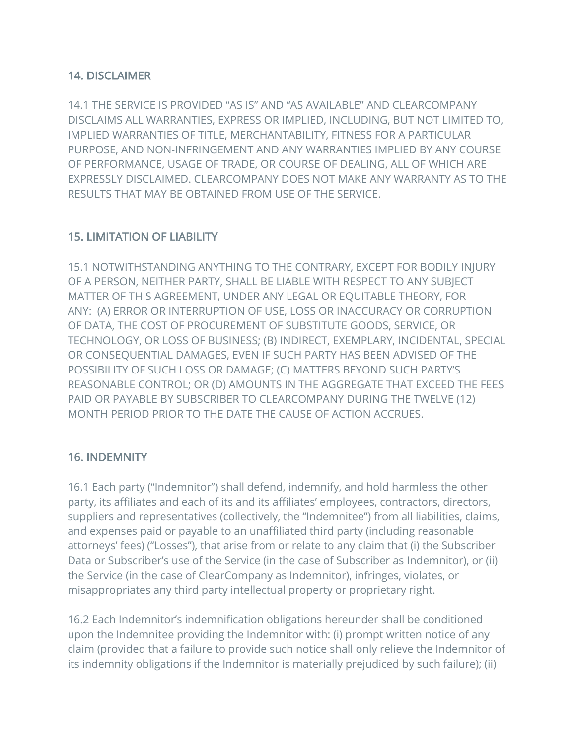#### 14. DISCLAIMER

14.1 THE SERVICE IS PROVIDED "AS IS" AND "AS AVAILABLE" AND CLEARCOMPANY DISCLAIMS ALL WARRANTIES, EXPRESS OR IMPLIED, INCLUDING, BUT NOT LIMITED TO, IMPLIED WARRANTIES OF TITLE, MERCHANTABILITY, FITNESS FOR A PARTICULAR PURPOSE, AND NON-INFRINGEMENT AND ANY WARRANTIES IMPLIED BY ANY COURSE OF PERFORMANCE, USAGE OF TRADE, OR COURSE OF DEALING, ALL OF WHICH ARE EXPRESSLY DISCLAIMED. CLEARCOMPANY DOES NOT MAKE ANY WARRANTY AS TO THE RESULTS THAT MAY BE OBTAINED FROM USE OF THE SERVICE.

#### 15. LIMITATION OF LIABILITY

15.1 NOTWITHSTANDING ANYTHING TO THE CONTRARY, EXCEPT FOR BODILY INJURY OF A PERSON, NEITHER PARTY, SHALL BE LIABLE WITH RESPECT TO ANY SUBJECT MATTER OF THIS AGREEMENT, UNDER ANY LEGAL OR EQUITABLE THEORY, FOR ANY: (A) ERROR OR INTERRUPTION OF USE, LOSS OR INACCURACY OR CORRUPTION OF DATA, THE COST OF PROCUREMENT OF SUBSTITUTE GOODS, SERVICE, OR TECHNOLOGY, OR LOSS OF BUSINESS; (B) INDIRECT, EXEMPLARY, INCIDENTAL, SPECIAL OR CONSEQUENTIAL DAMAGES, EVEN IF SUCH PARTY HAS BEEN ADVISED OF THE POSSIBILITY OF SUCH LOSS OR DAMAGE; (C) MATTERS BEYOND SUCH PARTY'S REASONABLE CONTROL; OR (D) AMOUNTS IN THE AGGREGATE THAT EXCEED THE FEES PAID OR PAYABLE BY SUBSCRIBER TO CLEARCOMPANY DURING THE TWELVE (12) MONTH PERIOD PRIOR TO THE DATE THE CAUSE OF ACTION ACCRUES.

#### 16. INDEMNITY

16.1 Each party ("Indemnitor") shall defend, indemnify, and hold harmless the other party, its affiliates and each of its and its affiliates' employees, contractors, directors, suppliers and representatives (collectively, the "Indemnitee") from all liabilities, claims, and expenses paid or payable to an unaffiliated third party (including reasonable attorneys' fees) ("Losses"), that arise from or relate to any claim that (i) the Subscriber Data or Subscriber's use of the Service (in the case of Subscriber as Indemnitor), or (ii) the Service (in the case of ClearCompany as Indemnitor), infringes, violates, or misappropriates any third party intellectual property or proprietary right.

16.2 Each Indemnitor's indemnification obligations hereunder shall be conditioned upon the Indemnitee providing the Indemnitor with: (i) prompt written notice of any claim (provided that a failure to provide such notice shall only relieve the Indemnitor of its indemnity obligations if the Indemnitor is materially prejudiced by such failure); (ii)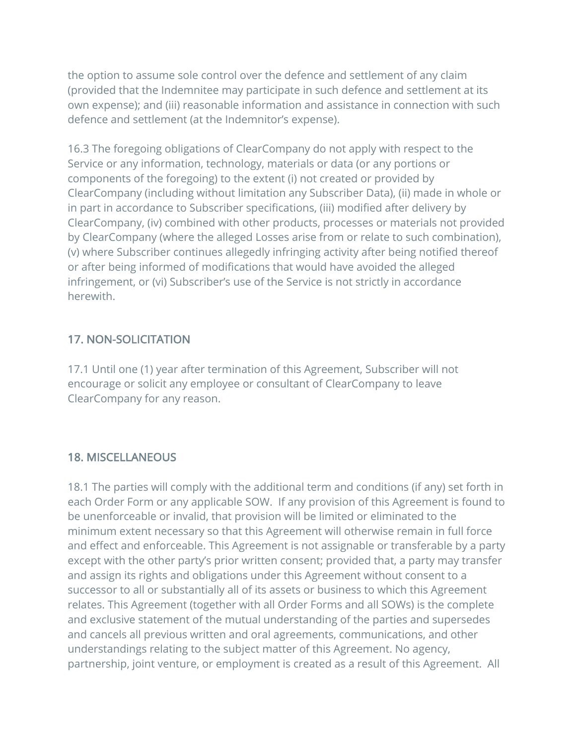the option to assume sole control over the defence and settlement of any claim (provided that the Indemnitee may participate in such defence and settlement at its own expense); and (iii) reasonable information and assistance in connection with such defence and settlement (at the Indemnitor's expense).

16.3 The foregoing obligations of ClearCompany do not apply with respect to the Service or any information, technology, materials or data (or any portions or components of the foregoing) to the extent (i) not created or provided by ClearCompany (including without limitation any Subscriber Data), (ii) made in whole or in part in accordance to Subscriber specifications, (iii) modified after delivery by ClearCompany, (iv) combined with other products, processes or materials not provided by ClearCompany (where the alleged Losses arise from or relate to such combination), (v) where Subscriber continues allegedly infringing activity after being notified thereof or after being informed of modifications that would have avoided the alleged infringement, or (vi) Subscriber's use of the Service is not strictly in accordance herewith.

## 17. NON-SOLICITATION

17.1 Until one (1) year after termination of this Agreement, Subscriber will not encourage or solicit any employee or consultant of ClearCompany to leave ClearCompany for any reason.

#### 18. MISCELLANEOUS

18.1 The parties will comply with the additional term and conditions (if any) set forth in each Order Form or any applicable SOW. If any provision of this Agreement is found to be unenforceable or invalid, that provision will be limited or eliminated to the minimum extent necessary so that this Agreement will otherwise remain in full force and effect and enforceable. This Agreement is not assignable or transferable by a party except with the other party's prior written consent; provided that, a party may transfer and assign its rights and obligations under this Agreement without consent to a successor to all or substantially all of its assets or business to which this Agreement relates. This Agreement (together with all Order Forms and all SOWs) is the complete and exclusive statement of the mutual understanding of the parties and supersedes and cancels all previous written and oral agreements, communications, and other understandings relating to the subject matter of this Agreement. No agency, partnership, joint venture, or employment is created as a result of this Agreement. All